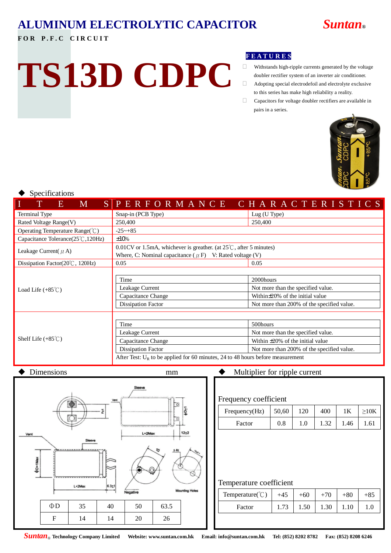## **ALUMINUM ELECTROLYTIC CAPACITOR** *Suntan***®**

#### FOR P.F.C CIRCUIT

# **TS13D CDPC**

#### **F E A T U R E S**

- $\hfill\Box$  <br>Withstands high-ripple currents generated by the voltage doubler rectifier system of an inverter air conditioner.
- $\Box$  Adopting special electrodefoil and electrolyte exclusive to this series has make high reliability a reality.
- Capacitors for voltage doubler rectifiers are available in pairs in a series.



#### Specifications

| Ι<br>T<br>$\blacksquare$ M<br><b>AB</b>    | SPERFORMANCE CHARACTERISTICS                                                      |                                            |  |  |  |
|--------------------------------------------|-----------------------------------------------------------------------------------|--------------------------------------------|--|--|--|
| Terminal Type                              | Snap-in (PCB Type)                                                                | Lug (U Type)                               |  |  |  |
| Rated Voltage Range(V)                     | 250,400                                                                           | 250,400                                    |  |  |  |
| Operating Temperature Range( $\degree$ C)  | $-25 - +85$                                                                       |                                            |  |  |  |
| Capacitance Tolerance(25°C,120Hz)          | $±10\%$                                                                           |                                            |  |  |  |
| Leakage Current( $\mu$ A)                  | $0.01$ CV or 1.5mA, whichever is greather. (at $25^{\circ}$ C, after 5 minutes)   |                                            |  |  |  |
|                                            | Where, C: Nominal capacitance ( $\mu$ F) V: Rated voltage (V)                     |                                            |  |  |  |
| Dissipation Factor( $20^{\circ}$ C, 120Hz) | 0.05                                                                              | 0.05                                       |  |  |  |
|                                            | 2000hours<br>Time                                                                 |                                            |  |  |  |
| Load Life $(+85^{\circ}$ C)                | Leakage Current                                                                   | Not more than the specified value.         |  |  |  |
|                                            | Capacitance Change                                                                | Within $\pm$ 20% of the initial value      |  |  |  |
|                                            | Dissipation Factor                                                                | Not more than 200% of the specified value. |  |  |  |
|                                            |                                                                                   |                                            |  |  |  |
|                                            | Time                                                                              | 500hours                                   |  |  |  |
| Shelf Life $(+85^{\circ}$ C)               | Leakage Current                                                                   | Not more than the specified value.         |  |  |  |
|                                            | Capacitance Change                                                                | Within $\pm 20\%$ of the initial value     |  |  |  |
|                                            | Dissipation Factor                                                                | Not more than 200% of the specified value. |  |  |  |
|                                            | After Test: $U_R$ to be applied for 60 minutes, 24 to 48 hours before measurement |                                            |  |  |  |



#### Frequency coefficient

| Frequency(Hz) | 50,60     | 120 | 400 |    |                 |
|---------------|-----------|-----|-----|----|-----------------|
| Factor        | $\rm 0.8$ |     |     | 46 | .6 <sup>1</sup> |

#### Temperature coefficient

| Temperature( $\degree$ C) | $+45$ |      |      | $+80$ | +85 |
|---------------------------|-------|------|------|-------|-----|
| Factor                    |       | 1.50 | 1.30 | .10   |     |